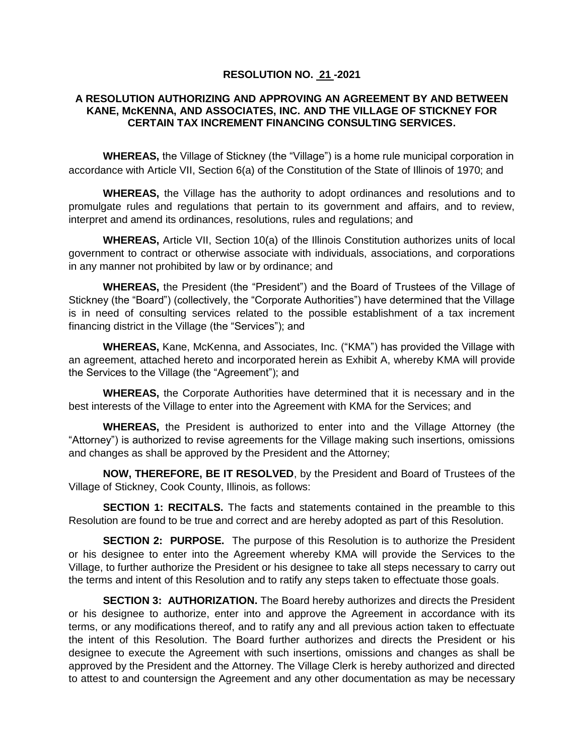## **RESOLUTION NO. 21 -2021**

## **A RESOLUTION AUTHORIZING AND APPROVING AN AGREEMENT BY AND BETWEEN KANE, McKENNA, AND ASSOCIATES, INC. AND THE VILLAGE OF STICKNEY FOR CERTAIN TAX INCREMENT FINANCING CONSULTING SERVICES.**

**WHEREAS,** the Village of Stickney (the "Village") is a home rule municipal corporation in accordance with Article VII, Section 6(a) of the Constitution of the State of Illinois of 1970; and

**WHEREAS,** the Village has the authority to adopt ordinances and resolutions and to promulgate rules and regulations that pertain to its government and affairs, and to review, interpret and amend its ordinances, resolutions, rules and regulations; and

**WHEREAS,** Article VII, Section 10(a) of the Illinois Constitution authorizes units of local government to contract or otherwise associate with individuals, associations, and corporations in any manner not prohibited by law or by ordinance; and

**WHEREAS,** the President (the "President") and the Board of Trustees of the Village of Stickney (the "Board") (collectively, the "Corporate Authorities") have determined that the Village is in need of consulting services related to the possible establishment of a tax increment financing district in the Village (the "Services"); and

**WHEREAS,** Kane, McKenna, and Associates, Inc. ("KMA") has provided the Village with an agreement, attached hereto and incorporated herein as Exhibit A, whereby KMA will provide the Services to the Village (the "Agreement"); and

**WHEREAS,** the Corporate Authorities have determined that it is necessary and in the best interests of the Village to enter into the Agreement with KMA for the Services; and

**WHEREAS,** the President is authorized to enter into and the Village Attorney (the "Attorney") is authorized to revise agreements for the Village making such insertions, omissions and changes as shall be approved by the President and the Attorney;

**NOW, THEREFORE, BE IT RESOLVED**, by the President and Board of Trustees of the Village of Stickney, Cook County, Illinois, as follows:

**SECTION 1: RECITALS.** The facts and statements contained in the preamble to this Resolution are found to be true and correct and are hereby adopted as part of this Resolution.

**SECTION 2: PURPOSE.** The purpose of this Resolution is to authorize the President or his designee to enter into the Agreement whereby KMA will provide the Services to the Village, to further authorize the President or his designee to take all steps necessary to carry out the terms and intent of this Resolution and to ratify any steps taken to effectuate those goals.

**SECTION 3: AUTHORIZATION.** The Board hereby authorizes and directs the President or his designee to authorize, enter into and approve the Agreement in accordance with its terms, or any modifications thereof, and to ratify any and all previous action taken to effectuate the intent of this Resolution. The Board further authorizes and directs the President or his designee to execute the Agreement with such insertions, omissions and changes as shall be approved by the President and the Attorney. The Village Clerk is hereby authorized and directed to attest to and countersign the Agreement and any other documentation as may be necessary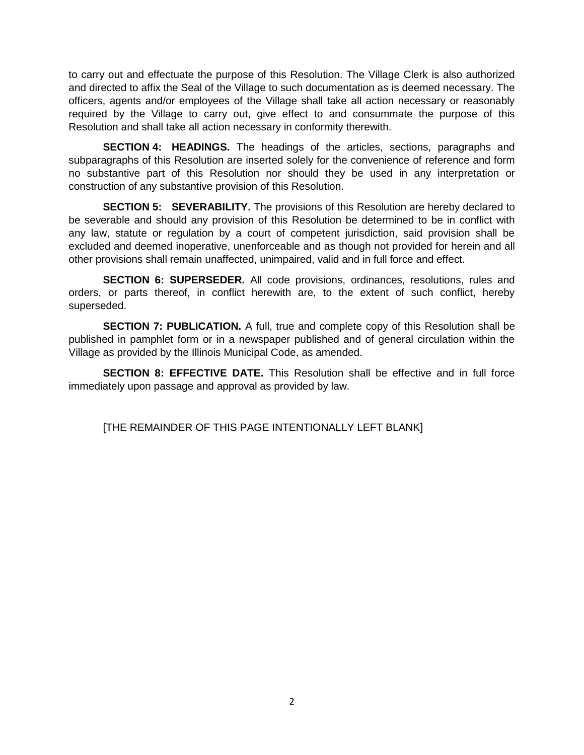to carry out and effectuate the purpose of this Resolution. The Village Clerk is also authorized and directed to affix the Seal of the Village to such documentation as is deemed necessary. The officers, agents and/or employees of the Village shall take all action necessary or reasonably required by the Village to carry out, give effect to and consummate the purpose of this Resolution and shall take all action necessary in conformity therewith.

**SECTION 4: HEADINGS.** The headings of the articles, sections, paragraphs and subparagraphs of this Resolution are inserted solely for the convenience of reference and form no substantive part of this Resolution nor should they be used in any interpretation or construction of any substantive provision of this Resolution.

**SECTION 5: SEVERABILITY.** The provisions of this Resolution are hereby declared to be severable and should any provision of this Resolution be determined to be in conflict with any law, statute or regulation by a court of competent jurisdiction, said provision shall be excluded and deemed inoperative, unenforceable and as though not provided for herein and all other provisions shall remain unaffected, unimpaired, valid and in full force and effect.

**SECTION 6: SUPERSEDER.** All code provisions, ordinances, resolutions, rules and orders, or parts thereof, in conflict herewith are, to the extent of such conflict, hereby superseded.

**SECTION 7: PUBLICATION.** A full, true and complete copy of this Resolution shall be published in pamphlet form or in a newspaper published and of general circulation within the Village as provided by the Illinois Municipal Code, as amended.

**SECTION 8: EFFECTIVE DATE.** This Resolution shall be effective and in full force immediately upon passage and approval as provided by law.

[THE REMAINDER OF THIS PAGE INTENTIONALLY LEFT BLANK]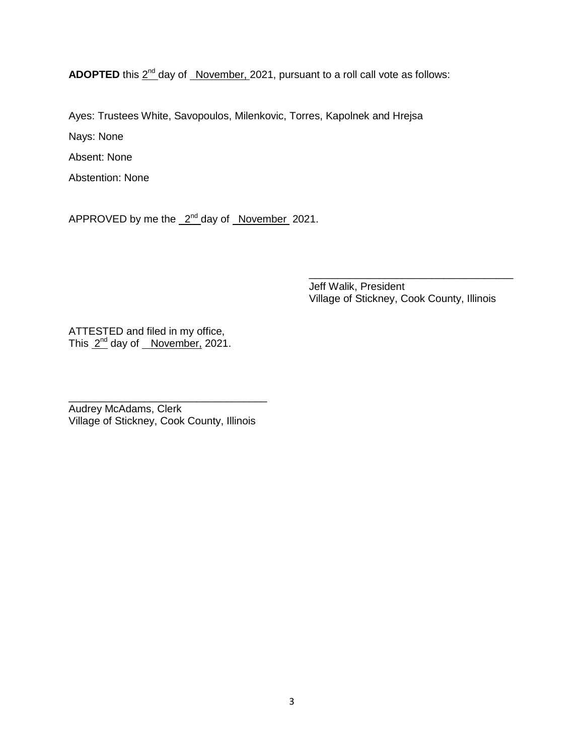ADOPTED this  $2^{nd}$  day of *November, 2021*, pursuant to a roll call vote as follows:

Ayes: Trustees White, Savopoulos, Milenkovic, Torres, Kapolnek and Hrejsa

Nays: None

Absent: None

Abstention: None

APPROVED by me the 2<sup>nd</sup> day of November 2021.

Jeff Walik, President Village of Stickney, Cook County, Illinois

\_\_\_\_\_\_\_\_\_\_\_\_\_\_\_\_\_\_\_\_\_\_\_\_\_\_\_\_\_\_\_\_\_\_\_

ATTESTED and filed in my office, This 2<sup>nd</sup> day of November, 2021.

Audrey McAdams, Clerk Village of Stickney, Cook County, Illinois

\_\_\_\_\_\_\_\_\_\_\_\_\_\_\_\_\_\_\_\_\_\_\_\_\_\_\_\_\_\_\_\_\_\_